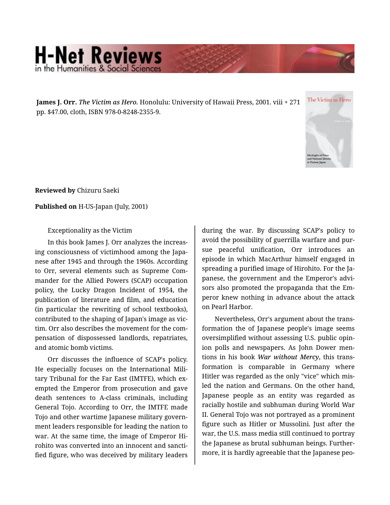## **H-Net Reviews** in the Humanities & Social S

**James J. Orr.** *The Victim as Hero.* Honolulu: University of Hawaii Press, 2001. viii + 271 pp. \$47.00, cloth, ISBN 978-0-8248-2355-9.



**Reviewed by** Chizuru Saeki

**Published on** H-US-Japan (July, 2001)

Exceptionality as the Victim

In this book James J. Orr analyzes the increas‐ ing consciousness of victimhood among the Japa‐ nese after 1945 and through the 1960s. According to Orr, several elements such as Supreme Com‐ mander for the Allied Powers (SCAP) occupation policy, the Lucky Dragon Incident of 1954, the publication of literature and film, and education (in particular the rewriting of school textbooks), contributed to the shaping of Japan's image as vic‐ tim. Orr also describes the movement for the com‐ pensation of dispossessed landlords, repatriates, and atomic bomb victims.

Orr discusses the influence of SCAP's policy. He especially focuses on the International Mili‐ tary Tribunal for the Far East (IMTFE), which ex‐ empted the Emperor from prosecution and gave death sentences to A-class criminals, including General Tojo. According to Orr, the IMTFE made Tojo and other wartime Japanese military govern‐ ment leaders responsible for leading the nation to war. At the same time, the image of Emperor Hi‐ rohito was converted into an innocent and sancti‐ fied figure, who was deceived by military leaders

during the war. By discussing SCAP's policy to avoid the possibility of guerrilla warfare and pur‐ sue peaceful unification, Orr introduces an episode in which MacArthur himself engaged in spreading a purified image of Hirohito. For the Ja‐ panese, the government and the Emperor's advi‐ sors also promoted the propaganda that the Em‐ peror knew nothing in advance about the attack on Pearl Harbor.

Nevertheless, Orr's argument about the trans‐ formation the of Japanese people's image seems oversimplified without assessing U.S. public opin‐ ion polls and newspapers. As John Dower men‐ tions in his book *War without Mercy*, this trans‐ formation is comparable in Germany where Hitler was regarded as the only "vice" which mis‐ led the nation and Germans. On the other hand, Japanese people as an entity was regarded as racially hostile and subhuman during World War II. General Tojo was not portrayed as a prominent figure such as Hitler or Mussolini. Just after the war, the U.S. mass media still continued to portray the Japanese as brutal subhuman beings. Further‐ more, it is hardly agreeable that the Japanese peo‐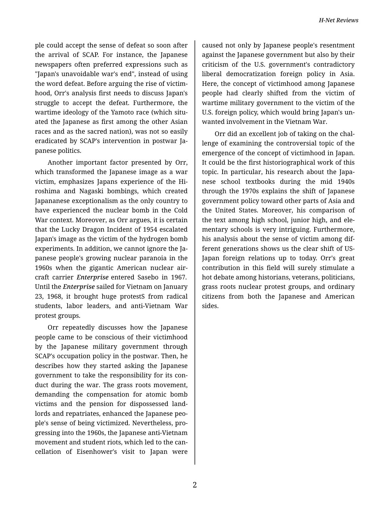ple could accept the sense of defeat so soon after the arrival of SCAP. For instance, the Japanese newspapers often preferred expressions such as "Japan's unavoidable war's end", instead of using the word defeat. Before arguing the rise of victim‐ hood, Orr's analysis first needs to discuss Japan's struggle to accept the defeat. Furthermore, the wartime ideology of the Yamoto race (which situ‐ ated the Japanese as first among the other Asian races and as the sacred nation), was not so easily eradicated by SCAP's intervention in postwar Ja‐ panese politics.

Another important factor presented by Orr, which transformed the Japanese image as a war victim, emphasizes Japans experience of the Hi‐ roshima and Nagaski bombings, which created Japananese exceptionalism as the only country to have experienced the nuclear bomb in the Cold War context. Moreover, as Orr argues, it is certain that the Lucky Dragon Incident of 1954 escalated Japan's image as the victim of the hydrogen bomb experiments. In addition, we cannot ignore the Ja‐ panese people's growing nuclear paranoia in the 1960s when the gigantic American nuclear air‐ craft carrier *Enterprise* entered Sasebo in 1967. Until the *Enterprise* sailed for Vietnam on January 23, 1968, it brought huge protestS from radical students, labor leaders, and anti-Vietnam War protest groups.

Orr repeatedly discusses how the Japanese people came to be conscious of their victimhood by the Japanese military government through SCAP's occupation policy in the postwar. Then, he describes how they started asking the Japanese government to take the responsibility for its con‐ duct during the war. The grass roots movement, demanding the compensation for atomic bomb victims and the pension for dispossessed land‐ lords and repatriates, enhanced the Japanese peo‐ ple's sense of being victimized. Nevertheless, pro‐ gressing into the 1960s, the Japanese anti-Vietnam movement and student riots, which led to the can‐ cellation of Eisenhower's visit to Japan were

caused not only by Japanese people's resentment against the Japanese government but also by their criticism of the U.S. government's contradictory liberal democratization foreign policy in Asia. Here, the concept of victimhood among Japanese people had clearly shifted from the victim of wartime military government to the victim of the U.S. foreign policy, which would bring Japan's un‐ wanted involvement in the Vietnam War.

Orr did an excellent job of taking on the chal‐ lenge of examining the controversial topic of the emergence of the concept of victimhood in Japan. It could be the first historiographical work of this topic. In particular, his research about the Japa‐ nese school textbooks during the mid 1940s through the 1970s explains the shift of Japanese government policy toward other parts of Asia and the United States. Moreover, his comparison of the text among high school, junior high, and ele‐ mentary schools is very intriguing. Furthermore, his analysis about the sense of victim among dif‐ ferent generations shows us the clear shift of US-Japan foreign relations up to today. Orr's great contribution in this field will surely stimulate a hot debate among historians, veterans, politicians, grass roots nuclear protest groups, and ordinary citizens from both the Japanese and American sides.